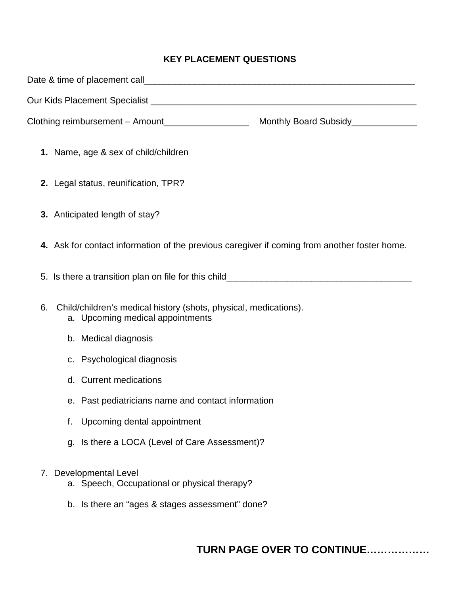## **KEY PLACEMENT QUESTIONS**

| Our Kids Placement Specialist [2002] [2012] [2012] [2012] [2012] [2012] [2012] [2012] [2012] [2012] [2012] [20 |
|----------------------------------------------------------------------------------------------------------------|
|                                                                                                                |
| 1. Name, age & sex of child/children                                                                           |
| 2. Legal status, reunification, TPR?                                                                           |
| 3. Anticipated length of stay?                                                                                 |
| 4. Ask for contact information of the previous caregiver if coming from another foster home.                   |
|                                                                                                                |
| 6.<br>Child/children's medical history (shots, physical, medications).<br>a. Upcoming medical appointments     |
| b. Medical diagnosis                                                                                           |
| c. Psychological diagnosis                                                                                     |
| d. Current medications                                                                                         |
| e. Past pediatricians name and contact information                                                             |
| Upcoming dental appointment<br>f.                                                                              |
| Is there a LOCA (Level of Care Assessment)?<br>g.                                                              |
| <b>Developmental Level</b><br>7.<br>a. Speech, Occupational or physical therapy?                               |
| b. Is there an "ages & stages assessment" done?                                                                |